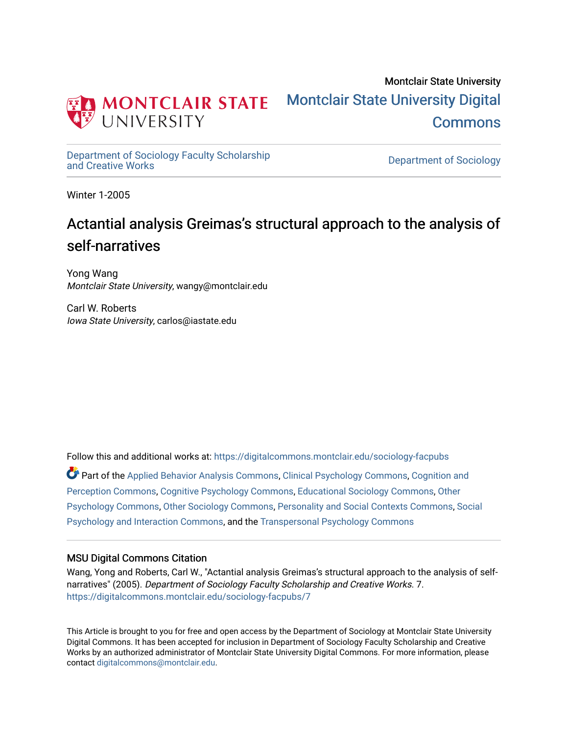

Montclair State University [Montclair State University Digital](https://digitalcommons.montclair.edu/)  [Commons](https://digitalcommons.montclair.edu/) 

[Department of Sociology Faculty Scholarship](https://digitalcommons.montclair.edu/sociology-facpubs)

Department of Sociology

Winter 1-2005

# Actantial analysis Greimas's structural approach to the analysis of self-narratives

Yong Wang Montclair State University, wangy@montclair.edu

Carl W. Roberts Iowa State University, carlos@iastate.edu

Follow this and additional works at: [https://digitalcommons.montclair.edu/sociology-facpubs](https://digitalcommons.montclair.edu/sociology-facpubs?utm_source=digitalcommons.montclair.edu%2Fsociology-facpubs%2F7&utm_medium=PDF&utm_campaign=PDFCoverPages)

Part of the [Applied Behavior Analysis Commons](http://network.bepress.com/hgg/discipline/1235?utm_source=digitalcommons.montclair.edu%2Fsociology-facpubs%2F7&utm_medium=PDF&utm_campaign=PDFCoverPages), [Clinical Psychology Commons](http://network.bepress.com/hgg/discipline/406?utm_source=digitalcommons.montclair.edu%2Fsociology-facpubs%2F7&utm_medium=PDF&utm_campaign=PDFCoverPages), [Cognition and](http://network.bepress.com/hgg/discipline/407?utm_source=digitalcommons.montclair.edu%2Fsociology-facpubs%2F7&utm_medium=PDF&utm_campaign=PDFCoverPages)  [Perception Commons](http://network.bepress.com/hgg/discipline/407?utm_source=digitalcommons.montclair.edu%2Fsociology-facpubs%2F7&utm_medium=PDF&utm_campaign=PDFCoverPages), [Cognitive Psychology Commons,](http://network.bepress.com/hgg/discipline/408?utm_source=digitalcommons.montclair.edu%2Fsociology-facpubs%2F7&utm_medium=PDF&utm_campaign=PDFCoverPages) [Educational Sociology Commons,](http://network.bepress.com/hgg/discipline/1071?utm_source=digitalcommons.montclair.edu%2Fsociology-facpubs%2F7&utm_medium=PDF&utm_campaign=PDFCoverPages) [Other](http://network.bepress.com/hgg/discipline/415?utm_source=digitalcommons.montclair.edu%2Fsociology-facpubs%2F7&utm_medium=PDF&utm_campaign=PDFCoverPages)  [Psychology Commons,](http://network.bepress.com/hgg/discipline/415?utm_source=digitalcommons.montclair.edu%2Fsociology-facpubs%2F7&utm_medium=PDF&utm_campaign=PDFCoverPages) [Other Sociology Commons,](http://network.bepress.com/hgg/discipline/434?utm_source=digitalcommons.montclair.edu%2Fsociology-facpubs%2F7&utm_medium=PDF&utm_campaign=PDFCoverPages) [Personality and Social Contexts Commons](http://network.bepress.com/hgg/discipline/413?utm_source=digitalcommons.montclair.edu%2Fsociology-facpubs%2F7&utm_medium=PDF&utm_campaign=PDFCoverPages), [Social](http://network.bepress.com/hgg/discipline/430?utm_source=digitalcommons.montclair.edu%2Fsociology-facpubs%2F7&utm_medium=PDF&utm_campaign=PDFCoverPages) [Psychology and Interaction Commons,](http://network.bepress.com/hgg/discipline/430?utm_source=digitalcommons.montclair.edu%2Fsociology-facpubs%2F7&utm_medium=PDF&utm_campaign=PDFCoverPages) and the [Transpersonal Psychology Commons](http://network.bepress.com/hgg/discipline/1388?utm_source=digitalcommons.montclair.edu%2Fsociology-facpubs%2F7&utm_medium=PDF&utm_campaign=PDFCoverPages)

## MSU Digital Commons Citation

Wang, Yong and Roberts, Carl W., "Actantial analysis Greimas's structural approach to the analysis of selfnarratives" (2005). Department of Sociology Faculty Scholarship and Creative Works. 7. [https://digitalcommons.montclair.edu/sociology-facpubs/7](https://digitalcommons.montclair.edu/sociology-facpubs/7?utm_source=digitalcommons.montclair.edu%2Fsociology-facpubs%2F7&utm_medium=PDF&utm_campaign=PDFCoverPages) 

This Article is brought to you for free and open access by the Department of Sociology at Montclair State University Digital Commons. It has been accepted for inclusion in Department of Sociology Faculty Scholarship and Creative Works by an authorized administrator of Montclair State University Digital Commons. For more information, please contact [digitalcommons@montclair.edu](mailto:digitalcommons@montclair.edu).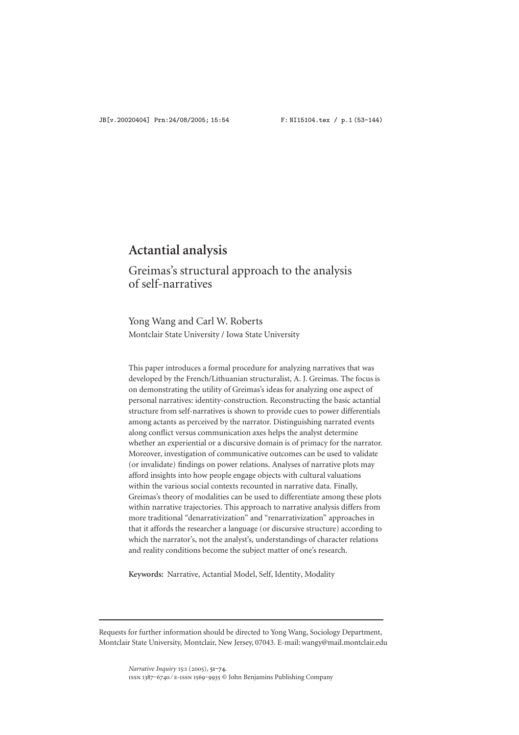# **Actantial analysis**

# Greimas's structural approach to the analysis of self-narratives

Yong Wang and Carl W. Roberts Montclair State University / Iowa State University

This paper introduces a formal procedure for analyzing narratives that was developed by the French/Lithuanian structuralist, A. J. Greimas. The focus is on demonstrating the utility of Greimas's ideas for analyzing one aspect of personal narratives: identity-construction. Reconstructing the basic actantial structure from self-narratives is shown to provide cues to power differentials among actants as perceived by the narrator. Distinguishing narrated events along conflict versus communication axes helps the analyst determine whether an experiential or a discursive domain is of primacy for the narrator. Moreover, investigation of communicative outcomes can be used to validate (or invalidate) findings on power relations. Analyses of narrative plots may afford insights into how people engage objects with cultural valuations within the various social contexts recounted in narrative data. Finally, Greimas's theory of modalities can be used to differentiate among these plots within narrative trajectories. This approach to narrative analysis differs from more traditional "denarrativization" and "renarrativization" approaches in that it affords the researcher a language (or discursive structure) according to which the narrator's, not the analyst's, understandings of character relations and reality conditions become the subject matter of one's research.

**Keywords:** Narrative, Actantial Model, Self, Identity, Modality

Requests for further information should be directed to Yong Wang, Sociology Department, Montclair State University, Montclair, New Jersey, 07043. E-mail: wangy@mail.montclair.edu

> *Narrative Inquiry* 15:1 (2005), 51-74. ISSN 1387-6740/E-ISSN 1569-9935 © John Benjamins Publishing Company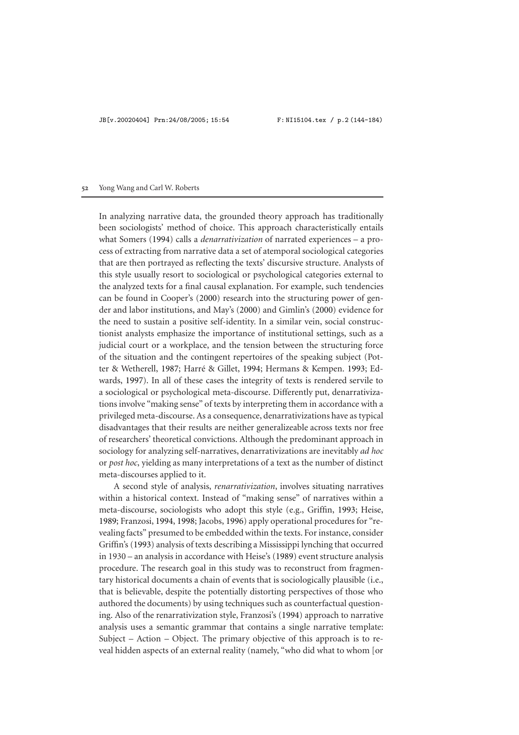In analyzing narrative data, the grounded theory approach has traditionally been sociologists' method of choice. This approach characteristically entails what Somers (1994) calls a *denarrativization* of narrated experiences – a process of extracting from narrative data a set of atemporal sociological categories that are then portrayed as reflecting the texts' discursive structure. Analysts of this style usually resort to sociological or psychological categories external to the analyzed texts for a final causal explanation. For example, such tendencies can be found in Cooper's (2000) research into the structuring power of gender and labor institutions, and May's (2000) and Gimlin's (2000) evidence for the need to sustain a positive self-identity. In a similar vein, social constructionist analysts emphasize the importance of institutional settings, such as a judicial court or a workplace, and the tension between the structuring force of the situation and the contingent repertoires of the speaking subject (Potter & Wetherell, 1987; Harré & Gillet, 1994; Hermans & Kempen. 1993; Edwards, 1997). In all of these cases the integrity of texts is rendered servile to a sociological or psychological meta-discourse. Differently put, denarrativizations involve "making sense" of texts by interpreting them in accordance with a privileged meta-discourse. As a consequence, denarrativizations have as typical disadvantages that their results are neither generalizeable across texts nor free of researchers' theoretical convictions. Although the predominant approach in sociology for analyzing self-narratives, denarrativizations are inevitably *ad hoc* or *post hoc*, yielding as many interpretations of a text as the number of distinct meta-discourses applied to it.

A second style of analysis, *renarrativization*, involves situating narratives within a historical context. Instead of "making sense" of narratives within a meta-discourse, sociologists who adopt this style (e.g., Griffin, 1993; Heise, 1989; Franzosi, 1994, 1998; Jacobs, 1996) apply operational procedures for "revealing facts" presumed to be embedded within the texts. For instance, consider Griffin's (1993) analysis of texts describing a Mississippi lynching that occurred in 1930 – an analysis in accordance with Heise's (1989) event structure analysis procedure. The research goal in this study was to reconstruct from fragmentary historical documents a chain of events that is sociologically plausible (i.e., that is believable, despite the potentially distorting perspectives of those who authored the documents) by using techniques such as counterfactual questioning. Also of the renarrativization style, Franzosi's (1994) approach to narrative analysis uses a semantic grammar that contains a single narrative template: Subject – Action – Object. The primary objective of this approach is to reveal hidden aspects of an external reality (namely, "who did what to whom [or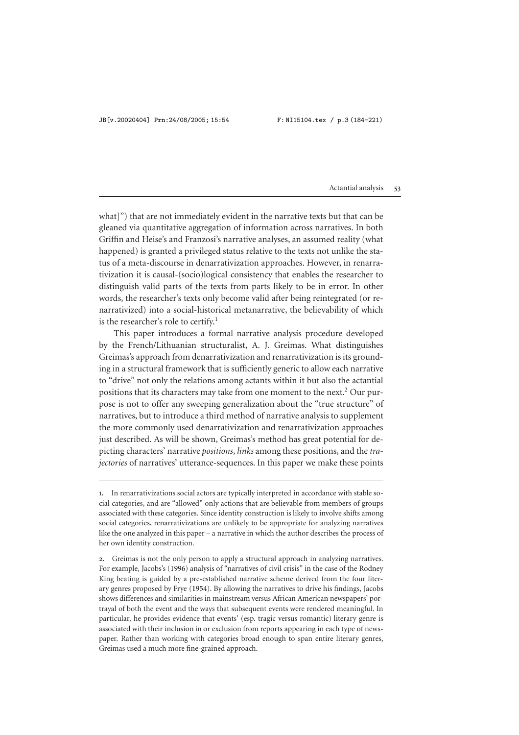what]") that are not immediately evident in the narrative texts but that can be gleaned via quantitative aggregation of information across narratives. In both Griffin and Heise's and Franzosi's narrative analyses, an assumed reality (what happened) is granted a privileged status relative to the texts not unlike the status of a meta-discourse in denarrativization approaches. However, in renarrativization it is causal-(socio)logical consistency that enables the researcher to distinguish valid parts of the texts from parts likely to be in error. In other words, the researcher's texts only become valid after being reintegrated (or renarrativized) into a social-historical metanarrative, the believability of which is the researcher's role to certify.<sup>1</sup>

This paper introduces a formal narrative analysis procedure developed by the French/Lithuanian structuralist, A. J. Greimas. What distinguishes Greimas's approach from denarrativization and renarrativization is its grounding in a structural framework that is sufficiently generic to allow each narrative to "drive" not only the relations among actants within it but also the actantial positions that its characters may take from one moment to the next.<sup>2</sup> Our purpose is not to offer any sweeping generalization about the "true structure" of narratives, but to introduce a third method of narrative analysis to supplement the more commonly used denarrativization and renarrativization approaches just described. As will be shown, Greimas's method has great potential for depicting characters' narrative *positions*, *links* among these positions, and the *trajectories* of narratives' utterance-sequences. In this paper we make these points

**<sup>.</sup>** In renarrativizations social actors are typically interpreted in accordance with stable social categories, and are "allowed" only actions that are believable from members of groups associated with these categories. Since identity construction is likely to involve shifts among social categories, renarrativizations are unlikely to be appropriate for analyzing narratives like the one analyzed in this paper – a narrative in which the author describes the process of her own identity construction.

**<sup>.</sup>** Greimas is not the only person to apply a structural approach in analyzing narratives. For example, Jacobs's (1996) analysis of "narratives of civil crisis" in the case of the Rodney King beating is guided by a pre-established narrative scheme derived from the four literary genres proposed by Frye (1954). By allowing the narratives to drive his findings, Jacobs shows differences and similarities in mainstream versus African American newspapers' portrayal of both the event and the ways that subsequent events were rendered meaningful. In particular, he provides evidence that events' (esp. tragic versus romantic) literary genre is associated with their inclusion in or exclusion from reports appearing in each type of newspaper. Rather than working with categories broad enough to span entire literary genres, Greimas used a much more fine-grained approach.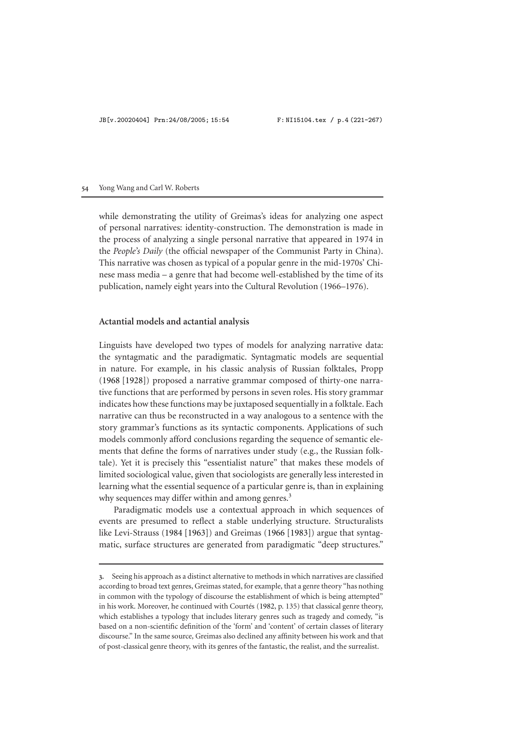while demonstrating the utility of Greimas's ideas for analyzing one aspect of personal narratives: identity-construction. The demonstration is made in the process of analyzing a single personal narrative that appeared in 1974 in the *People's Daily* (the official newspaper of the Communist Party in China). This narrative was chosen as typical of a popular genre in the mid-1970s' Chinese mass media – a genre that had become well-established by the time of its publication, namely eight years into the Cultural Revolution (1966–1976).

#### **Actantial models and actantial analysis**

Linguists have developed two types of models for analyzing narrative data: the syntagmatic and the paradigmatic. Syntagmatic models are sequential in nature. For example, in his classic analysis of Russian folktales, Propp (1968 [1928]) proposed a narrative grammar composed of thirty-one narrative functions that are performed by persons in seven roles. His story grammar indicates how these functions may be juxtaposed sequentially in a folktale. Each narrative can thus be reconstructed in a way analogous to a sentence with the story grammar's functions as its syntactic components. Applications of such models commonly afford conclusions regarding the sequence of semantic elements that define the forms of narratives under study (e.g., the Russian folktale). Yet it is precisely this "essentialist nature" that makes these models of limited sociological value, given that sociologists are generally less interested in learning what the essential sequence of a particular genre is, than in explaining why sequences may differ within and among genres.<sup>3</sup>

Paradigmatic models use a contextual approach in which sequences of events are presumed to reflect a stable underlying structure. Structuralists like Levi-Strauss (1984 [1963]) and Greimas (1966 [1983]) argue that syntagmatic, surface structures are generated from paradigmatic "deep structures."

**<sup>.</sup>** Seeing his approach as a distinct alternative to methods in which narratives are classified according to broad text genres, Greimas stated, for example, that a genre theory "has nothing in common with the typology of discourse the establishment of which is being attempted" in his work. Moreover, he continued with Courtés (1982, p. 135) that classical genre theory, which establishes a typology that includes literary genres such as tragedy and comedy, "is based on a non-scientific definition of the 'form' and 'content' of certain classes of literary discourse." In the same source, Greimas also declined any affinity between his work and that of post-classical genre theory, with its genres of the fantastic, the realist, and the surrealist.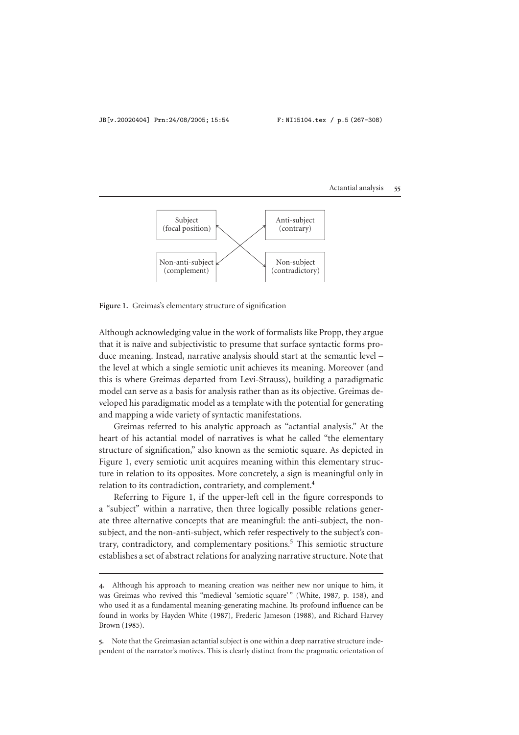

**Figure 1.** Greimas's elementary structure of signification

Although acknowledging value in the work of formalists like Propp, they argue that it is naïve and subjectivistic to presume that surface syntactic forms produce meaning. Instead, narrative analysis should start at the semantic level – the level at which a single semiotic unit achieves its meaning. Moreover (and this is where Greimas departed from Levi-Strauss), building a paradigmatic model can serve as a basis for analysis rather than as its objective. Greimas developed his paradigmatic model as a template with the potential for generating and mapping a wide variety of syntactic manifestations.

Greimas referred to his analytic approach as "actantial analysis." At the heart of his actantial model of narratives is what he called "the elementary structure of signification," also known as the semiotic square. As depicted in Figure 1, every semiotic unit acquires meaning within this elementary structure in relation to its opposites. More concretely, a sign is meaningful only in relation to its contradiction, contrariety, and complement.4

Referring to Figure 1, if the upper-left cell in the figure corresponds to a "subject" within a narrative, then three logically possible relations generate three alternative concepts that are meaningful: the anti-subject, the nonsubject, and the non-anti-subject, which refer respectively to the subject's contrary, contradictory, and complementary positions.<sup>5</sup> This semiotic structure establishes a set of abstract relations for analyzing narrative structure. Note that

**.** Note that the Greimasian actantial subject is one within a deep narrative structure independent of the narrator's motives. This is clearly distinct from the pragmatic orientation of

**<sup>.</sup>** Although his approach to meaning creation was neither new nor unique to him, it was Greimas who revived this "medieval 'semiotic square' " (White, 1987, p. 158), and who used it as a fundamental meaning-generating machine. Its profound influence can be found in works by Hayden White (1987), Frederic Jameson (1988), and Richard Harvey Brown (1985).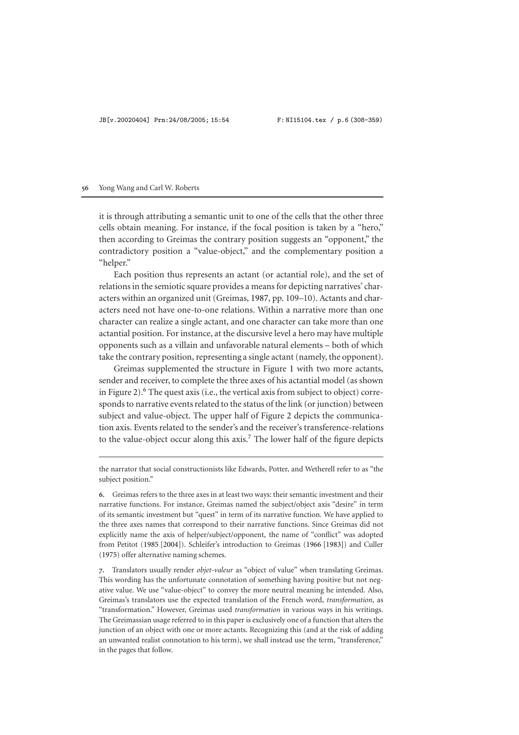it is through attributing a semantic unit to one of the cells that the other three cells obtain meaning. For instance, if the focal position is taken by a "hero," then according to Greimas the contrary position suggests an "opponent," the contradictory position a "value-object," and the complementary position a "helper."

Each position thus represents an actant (or actantial role), and the set of relations in the semiotic square provides a means for depicting narratives' characters within an organized unit (Greimas, 1987, pp. 109–10). Actants and characters need not have one-to-one relations. Within a narrative more than one character can realize a single actant, and one character can take more than one actantial position. For instance, at the discursive level a hero may have multiple opponents such as a villain and unfavorable natural elements – both of which take the contrary position, representing a single actant (namely, the opponent).

Greimas supplemented the structure in Figure 1 with two more actants, sender and receiver, to complete the three axes of his actantial model (as shown in Figure 2). $\textdegree$  The quest axis (i.e., the vertical axis from subject to object) corresponds to narrative events related to the status of the link (or junction) between subject and value-object. The upper half of Figure 2 depicts the communication axis. Events related to the sender's and the receiver's transference-relations to the value-object occur along this axis.<sup>7</sup> The lower half of the figure depicts

**.** Translators usually render *objet-valeur* as "object of value" when translating Greimas. This wording has the unfortunate connotation of something having positive but not negative value. We use "value-object" to convey the more neutral meaning he intended. Also, Greimas's translators use the expected translation of the French word, *transformation*, as "transformation." However, Greimas used *transformation* in various ways in his writings. The Greimassian usage referred to in this paper is exclusively one of a function that alters the junction of an object with one or more actants. Recognizing this (and at the risk of adding an unwanted realist connotation to his term), we shall instead use the term, "transference," in the pages that follow.

the narrator that social constructionists like Edwards, Potter, and Wetherell refer to as "the subject position."

**<sup>.</sup>** Greimas refers to the three axes in at least two ways: their semantic investment and their narrative functions. For instance, Greimas named the subject/object axis "desire" in term of its semantic investment but "quest" in term of its narrative function. We have applied to the three axes names that correspond to their narrative functions. Since Greimas did not explicitly name the axis of helper/subject/opponent, the name of "conflict" was adopted from Petitot (1985 [2004]). Schleifer's introduction to Greimas (1966 [1983]) and Culler (1975) offer alternative naming schemes.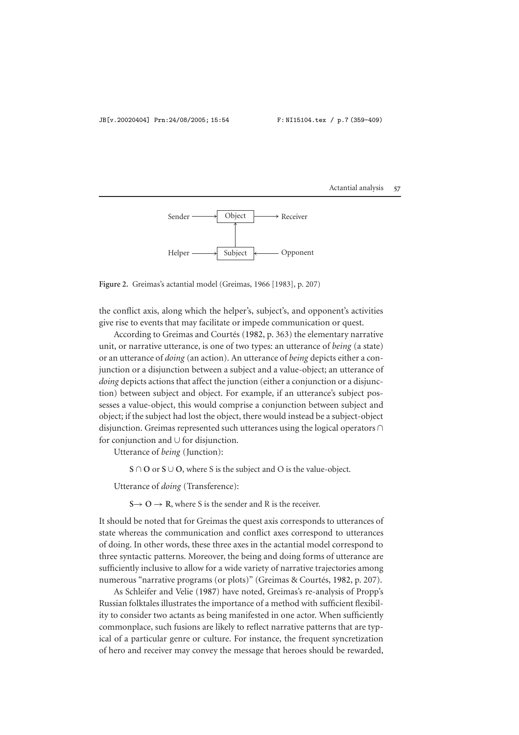

**Figure 2.** Greimas's actantial model (Greimas, 1966 [1983], p. 207)

the conflict axis, along which the helper's, subject's, and opponent's activities give rise to events that may facilitate or impede communication or quest.

According to Greimas and Courtés (1982, p. 363) the elementary narrative unit, or narrative utterance, is one of two types: an utterance of *being* (a state) or an utterance of *doing* (an action). An utterance of *being* depicts either a conjunction or a disjunction between a subject and a value-object; an utterance of *doing* depicts actions that affect the junction (either a conjunction or a disjunction) between subject and object. For example, if an utterance's subject possesses a value-object, this would comprise a conjunction between subject and object; if the subject had lost the object, there would instead be a subject-object disjunction. Greimas represented such utterances using the logical operators ∩ for conjunction and ∪ for disjunction.

Utterance of *being* (Junction):

**S** ∩ **O** or **S** ∪ **O**, where S is the subject and O is the value-object.

Utterance of *doing* (Transference):

 $S \rightarrow O \rightarrow R$ , where S is the sender and R is the receiver.

It should be noted that for Greimas the quest axis corresponds to utterances of state whereas the communication and conflict axes correspond to utterances of doing. In other words, these three axes in the actantial model correspond to three syntactic patterns. Moreover, the being and doing forms of utterance are sufficiently inclusive to allow for a wide variety of narrative trajectories among numerous "narrative programs (or plots)" (Greimas & Courtés, 1982, p. 207).

As Schleifer and Velie (1987) have noted, Greimas's re-analysis of Propp's Russian folktales illustrates the importance of a method with sufficient flexibility to consider two actants as being manifested in one actor. When sufficiently commonplace, such fusions are likely to reflect narrative patterns that are typical of a particular genre or culture. For instance, the frequent syncretization of hero and receiver may convey the message that heroes should be rewarded,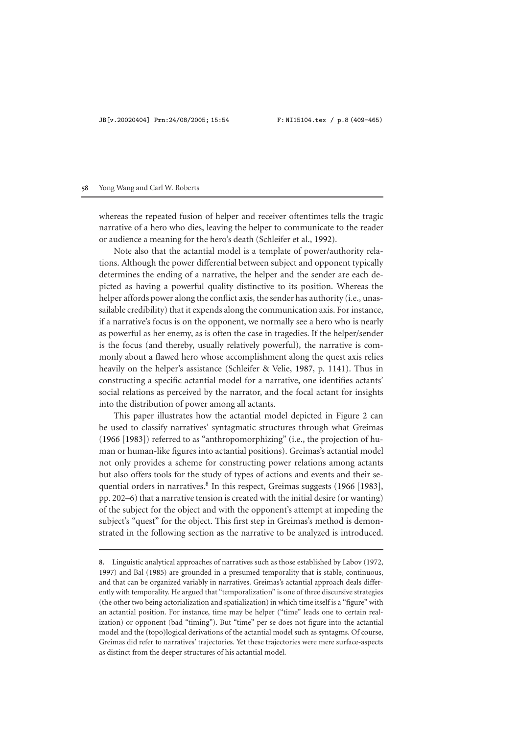whereas the repeated fusion of helper and receiver oftentimes tells the tragic narrative of a hero who dies, leaving the helper to communicate to the reader or audience a meaning for the hero's death (Schleifer et al., 1992).

Note also that the actantial model is a template of power/authority relations. Although the power differential between subject and opponent typically determines the ending of a narrative, the helper and the sender are each depicted as having a powerful quality distinctive to its position. Whereas the helper affords power along the conflict axis, the sender has authority (i.e., unassailable credibility) that it expends along the communication axis. For instance, if a narrative's focus is on the opponent, we normally see a hero who is nearly as powerful as her enemy, as is often the case in tragedies. If the helper/sender is the focus (and thereby, usually relatively powerful), the narrative is commonly about a flawed hero whose accomplishment along the quest axis relies heavily on the helper's assistance (Schleifer & Velie, 1987, p. 1141). Thus in constructing a specific actantial model for a narrative, one identifies actants' social relations as perceived by the narrator, and the focal actant for insights into the distribution of power among all actants.

This paper illustrates how the actantial model depicted in Figure 2 can be used to classify narratives' syntagmatic structures through what Greimas (1966 [1983]) referred to as "anthropomorphizing" (i.e., the projection of human or human-like figures into actantial positions). Greimas's actantial model not only provides a scheme for constructing power relations among actants but also offers tools for the study of types of actions and events and their sequential orders in narratives. $8 \text{ In this respect, Greimas suggests (1966)}$  [1983], pp. 202–6) that a narrative tension is created with the initial desire (or wanting) of the subject for the object and with the opponent's attempt at impeding the subject's "quest" for the object. This first step in Greimas's method is demonstrated in the following section as the narrative to be analyzed is introduced.

**<sup>.</sup>** Linguistic analytical approaches of narratives such as those established by Labov (1972, 1997) and Bal (1985) are grounded in a presumed temporality that is stable, continuous, and that can be organized variably in narratives. Greimas's actantial approach deals differently with temporality. He argued that "temporalization" is one of three discursive strategies (the other two being actorialization and spatialization) in which time itself is a "figure" with an actantial position. For instance, time may be helper ("time" leads one to certain realization) or opponent (bad "timing"). But "time" per se does not figure into the actantial model and the (topo)logical derivations of the actantial model such as syntagms. Of course, Greimas did refer to narratives' trajectories. Yet these trajectories were mere surface-aspects as distinct from the deeper structures of his actantial model.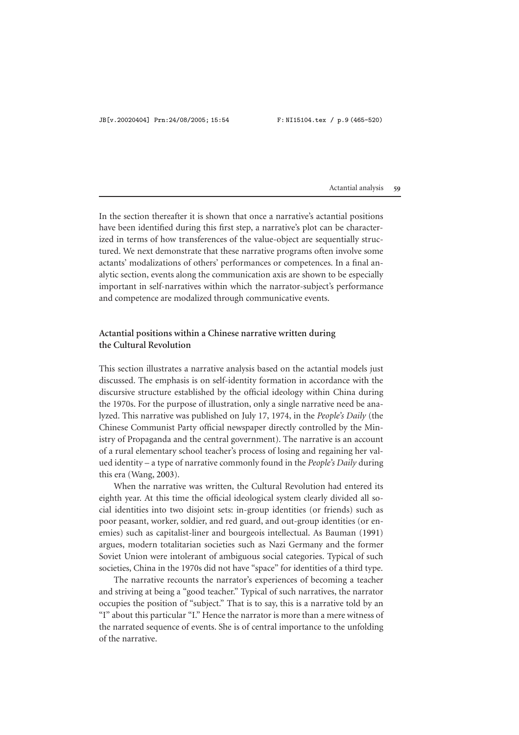In the section thereafter it is shown that once a narrative's actantial positions have been identified during this first step, a narrative's plot can be characterized in terms of how transferences of the value-object are sequentially structured. We next demonstrate that these narrative programs often involve some actants' modalizations of others' performances or competences. In a final analytic section, events along the communication axis are shown to be especially important in self-narratives within which the narrator-subject's performance and competence are modalized through communicative events.

### **Actantial positions within a Chinese narrative written during the Cultural Revolution**

This section illustrates a narrative analysis based on the actantial models just discussed. The emphasis is on self-identity formation in accordance with the discursive structure established by the official ideology within China during the 1970s. For the purpose of illustration, only a single narrative need be analyzed. This narrative was published on July 17, 1974, in the *People's Daily* (the Chinese Communist Party official newspaper directly controlled by the Ministry of Propaganda and the central government). The narrative is an account of a rural elementary school teacher's process of losing and regaining her valued identity – a type of narrative commonly found in the *People's Daily* during this era (Wang, 2003).

When the narrative was written, the Cultural Revolution had entered its eighth year. At this time the official ideological system clearly divided all social identities into two disjoint sets: in-group identities (or friends) such as poor peasant, worker, soldier, and red guard, and out-group identities (or enemies) such as capitalist-liner and bourgeois intellectual. As Bauman (1991) argues, modern totalitarian societies such as Nazi Germany and the former Soviet Union were intolerant of ambiguous social categories. Typical of such societies, China in the 1970s did not have "space" for identities of a third type.

The narrative recounts the narrator's experiences of becoming a teacher and striving at being a "good teacher." Typical of such narratives, the narrator occupies the position of "subject." That is to say, this is a narrative told by an "I" about this particular "I." Hence the narrator is more than a mere witness of the narrated sequence of events. She is of central importance to the unfolding of the narrative.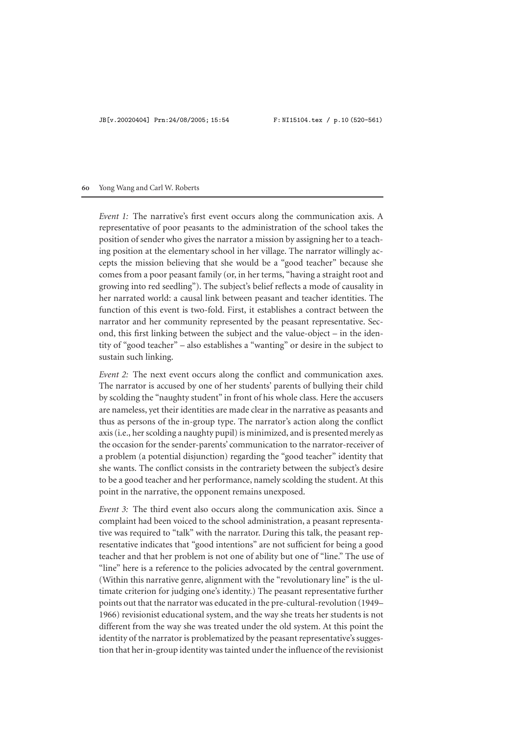*Event 1:* The narrative's first event occurs along the communication axis. A representative of poor peasants to the administration of the school takes the position of sender who gives the narrator a mission by assigning her to a teaching position at the elementary school in her village. The narrator willingly accepts the mission believing that she would be a "good teacher" because she comes from a poor peasant family (or, in her terms, "having a straight root and growing into red seedling"). The subject's belief reflects a mode of causality in her narrated world: a causal link between peasant and teacher identities. The function of this event is two-fold. First, it establishes a contract between the narrator and her community represented by the peasant representative. Second, this first linking between the subject and the value-object – in the identity of "good teacher" – also establishes a "wanting" or desire in the subject to sustain such linking.

*Event 2:* The next event occurs along the conflict and communication axes. The narrator is accused by one of her students' parents of bullying their child by scolding the "naughty student" in front of his whole class. Here the accusers are nameless, yet their identities are made clear in the narrative as peasants and thus as persons of the in-group type. The narrator's action along the conflict axis (i.e., her scolding a naughty pupil) is minimized, and is presented merely as the occasion for the sender-parents' communication to the narrator-receiver of a problem (a potential disjunction) regarding the "good teacher" identity that she wants. The conflict consists in the contrariety between the subject's desire to be a good teacher and her performance, namely scolding the student. At this point in the narrative, the opponent remains unexposed.

*Event 3:* The third event also occurs along the communication axis. Since a complaint had been voiced to the school administration, a peasant representative was required to "talk" with the narrator. During this talk, the peasant representative indicates that "good intentions" are not sufficient for being a good teacher and that her problem is not one of ability but one of "line." The use of "line" here is a reference to the policies advocated by the central government. (Within this narrative genre, alignment with the "revolutionary line" is the ultimate criterion for judging one's identity.) The peasant representative further points out that the narrator was educated in the pre-cultural-revolution (1949– 1966) revisionist educational system, and the way she treats her students is not different from the way she was treated under the old system. At this point the identity of the narrator is problematized by the peasant representative's suggestion that her in-group identity was tainted under the influence of the revisionist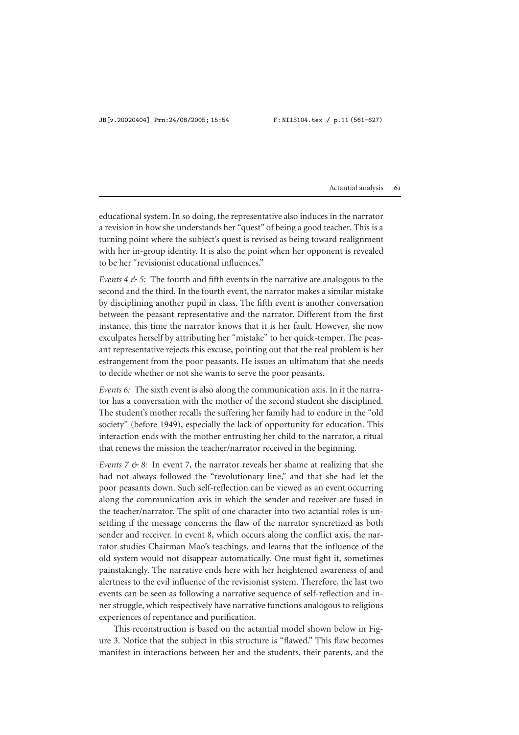educational system. In so doing, the representative also induces in the narrator a revision in how she understands her "quest" of being a good teacher. This is a turning point where the subject's quest is revised as being toward realignment with her in-group identity. It is also the point when her opponent is revealed to be her "revisionist educational influences."

*Events 4*  $\&$  *5:* The fourth and fifth events in the narrative are analogous to the second and the third. In the fourth event, the narrator makes a similar mistake by disciplining another pupil in class. The fifth event is another conversation between the peasant representative and the narrator. Different from the first instance, this time the narrator knows that it is her fault. However, she now exculpates herself by attributing her "mistake" to her quick-temper. The peasant representative rejects this excuse, pointing out that the real problem is her estrangement from the poor peasants. He issues an ultimatum that she needs to decide whether or not she wants to serve the poor peasants.

*Events 6:* The sixth event is also along the communication axis. In it the narrator has a conversation with the mother of the second student she disciplined. The student's mother recalls the suffering her family had to endure in the "old society" (before 1949), especially the lack of opportunity for education. This interaction ends with the mother entrusting her child to the narrator, a ritual that renews the mission the teacher/narrator received in the beginning.

*Events 7*  $\&$  *8:* In event 7, the narrator reveals her shame at realizing that she had not always followed the "revolutionary line," and that she had let the poor peasants down. Such self-reflection can be viewed as an event occurring along the communication axis in which the sender and receiver are fused in the teacher/narrator. The split of one character into two actantial roles is unsettling if the message concerns the flaw of the narrator syncretized as both sender and receiver. In event 8, which occurs along the conflict axis, the narrator studies Chairman Mao's teachings, and learns that the influence of the old system would not disappear automatically. One must fight it, sometimes painstakingly. The narrative ends here with her heightened awareness of and alertness to the evil influence of the revisionist system. Therefore, the last two events can be seen as following a narrative sequence of self-reflection and inner struggle, which respectively have narrative functions analogous to religious experiences of repentance and purification.

This reconstruction is based on the actantial model shown below in Figure 3. Notice that the subject in this structure is "flawed." This flaw becomes manifest in interactions between her and the students, their parents, and the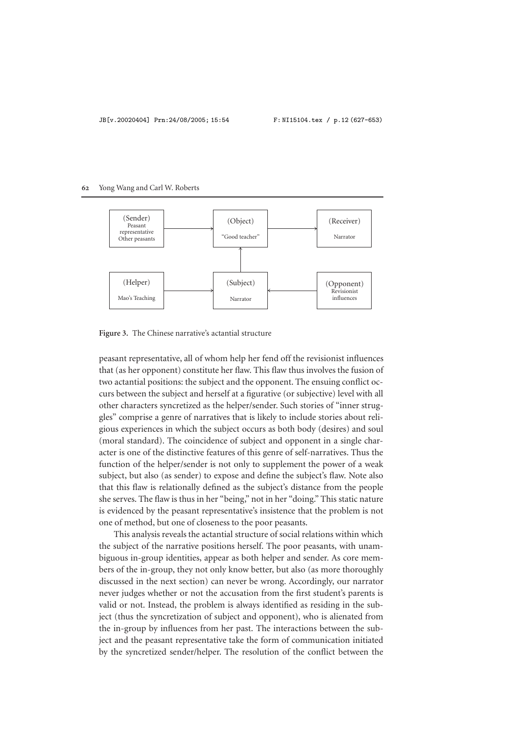

**Figure 3.** The Chinese narrative's actantial structure

peasant representative, all of whom help her fend off the revisionist influences that (as her opponent) constitute her flaw. This flaw thus involves the fusion of two actantial positions: the subject and the opponent. The ensuing conflict occurs between the subject and herself at a figurative (or subjective) level with all other characters syncretized as the helper/sender. Such stories of "inner struggles" comprise a genre of narratives that is likely to include stories about religious experiences in which the subject occurs as both body (desires) and soul (moral standard). The coincidence of subject and opponent in a single character is one of the distinctive features of this genre of self-narratives. Thus the function of the helper/sender is not only to supplement the power of a weak subject, but also (as sender) to expose and define the subject's flaw. Note also that this flaw is relationally defined as the subject's distance from the people she serves. The flaw is thus in her "being," not in her "doing." This static nature is evidenced by the peasant representative's insistence that the problem is not one of method, but one of closeness to the poor peasants.

This analysis reveals the actantial structure of social relations within which the subject of the narrative positions herself. The poor peasants, with unambiguous in-group identities, appear as both helper and sender. As core members of the in-group, they not only know better, but also (as more thoroughly discussed in the next section) can never be wrong. Accordingly, our narrator never judges whether or not the accusation from the first student's parents is valid or not. Instead, the problem is always identified as residing in the subject (thus the syncretization of subject and opponent), who is alienated from the in-group by influences from her past. The interactions between the subject and the peasant representative take the form of communication initiated by the syncretized sender/helper. The resolution of the conflict between the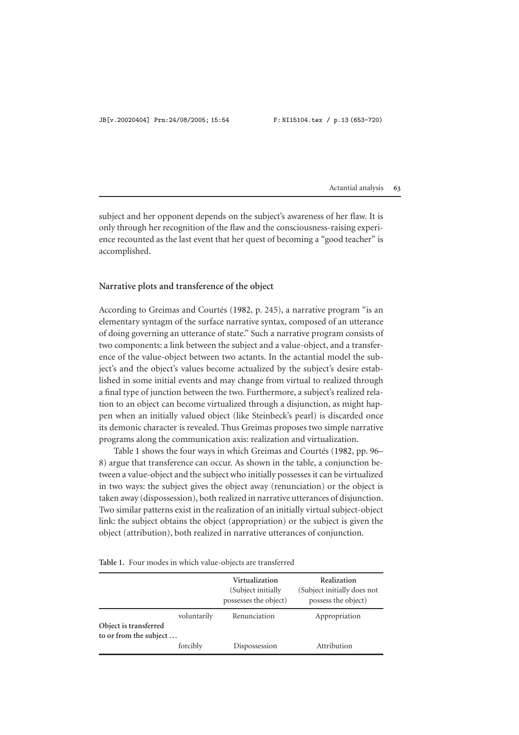subject and her opponent depends on the subject's awareness of her flaw. It is only through her recognition of the flaw and the consciousness-raising experience recounted as the last event that her quest of becoming a "good teacher" is accomplished.

### **Narrative plots and transference of the object**

According to Greimas and Courtés (1982, p. 245), a narrative program "is an elementary syntagm of the surface narrative syntax, composed of an utterance of doing governing an utterance of state." Such a narrative program consists of two components: a link between the subject and a value-object, and a transference of the value-object between two actants. In the actantial model the subject's and the object's values become actualized by the subject's desire established in some initial events and may change from virtual to realized through a final type of junction between the two. Furthermore, a subject's realized relation to an object can become virtualized through a disjunction, as might happen when an initially valued object (like Steinbeck's pearl) is discarded once its demonic character is revealed. Thus Greimas proposes two simple narrative programs along the communication axis: realization and virtualization.

Table 1 shows the four ways in which Greimas and Courtés (1982, pp. 96– 8) argue that transference can occur. As shown in the table, a conjunction between a value-object and the subject who initially possesses it can be virtualized in two ways: the subject gives the object away (renunciation) or the object is taken away (dispossession), both realized in narrative utterances of disjunction. Two similar patterns exist in the realization of an initially virtual subject-object link: the subject obtains the object (appropriation) or the subject is given the object (attribution), both realized in narrative utterances of conjunction.

|                                                 |             | Virtualization<br>(Subject initially)<br>possesses the object) | Realization<br>(Subject initially does not<br>possess the object) |
|-------------------------------------------------|-------------|----------------------------------------------------------------|-------------------------------------------------------------------|
| Object is transferred<br>to or from the subject | voluntarily | Renunciation                                                   | Appropriation                                                     |
|                                                 | forcibly    | Dispossession                                                  | Attribution                                                       |

**Table 1.** Four modes in which value-objects are transferred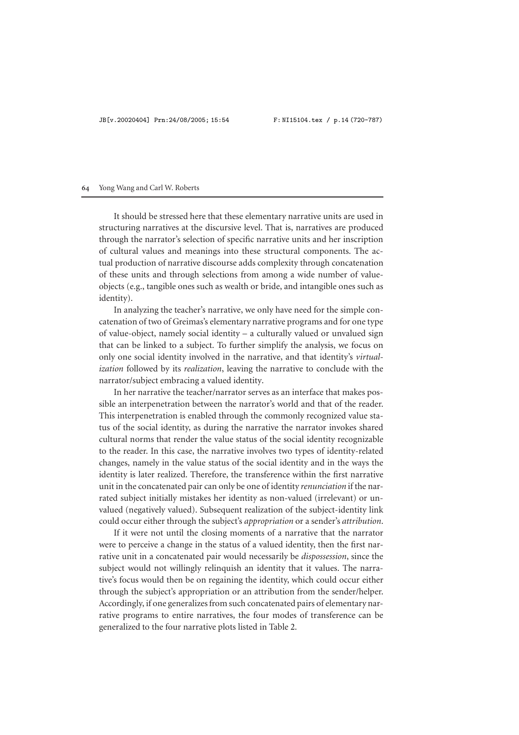It should be stressed here that these elementary narrative units are used in structuring narratives at the discursive level. That is, narratives are produced through the narrator's selection of specific narrative units and her inscription of cultural values and meanings into these structural components. The actual production of narrative discourse adds complexity through concatenation of these units and through selections from among a wide number of valueobjects (e.g., tangible ones such as wealth or bride, and intangible ones such as identity).

In analyzing the teacher's narrative, we only have need for the simple concatenation of two of Greimas's elementary narrative programs and for one type of value-object, namely social identity – a culturally valued or unvalued sign that can be linked to a subject. To further simplify the analysis, we focus on only one social identity involved in the narrative, and that identity's *virtualization* followed by its *realization*, leaving the narrative to conclude with the narrator/subject embracing a valued identity.

In her narrative the teacher/narrator serves as an interface that makes possible an interpenetration between the narrator's world and that of the reader. This interpenetration is enabled through the commonly recognized value status of the social identity, as during the narrative the narrator invokes shared cultural norms that render the value status of the social identity recognizable to the reader. In this case, the narrative involves two types of identity-related changes, namely in the value status of the social identity and in the ways the identity is later realized. Therefore, the transference within the first narrative unit in the concatenated pair can only be one of identity *renunciation* if the narrated subject initially mistakes her identity as non-valued (irrelevant) or unvalued (negatively valued). Subsequent realization of the subject-identity link could occur either through the subject's *appropriation* or a sender's *attribution*.

If it were not until the closing moments of a narrative that the narrator were to perceive a change in the status of a valued identity, then the first narrative unit in a concatenated pair would necessarily be *dispossession*, since the subject would not willingly relinquish an identity that it values. The narrative's focus would then be on regaining the identity, which could occur either through the subject's appropriation or an attribution from the sender/helper. Accordingly, if one generalizes from such concatenated pairs of elementary narrative programs to entire narratives, the four modes of transference can be generalized to the four narrative plots listed in Table 2.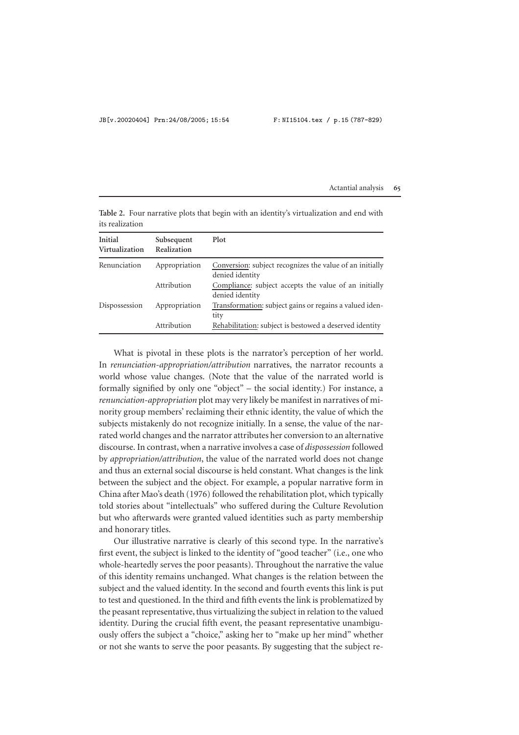| Initial<br>Virtualization | Subsequent<br>Realization | <b>Plot</b>                                                                 |
|---------------------------|---------------------------|-----------------------------------------------------------------------------|
| Renunciation              | Appropriation             | Conversion: subject recognizes the value of an initially<br>denied identity |
|                           | Attribution               | Compliance: subject accepts the value of an initially<br>denied identity    |
| Dispossession             | Appropriation             | Transformation: subject gains or regains a valued iden-<br>tity             |
|                           | Attribution               | Rehabilitation: subject is bestowed a deserved identity                     |

**Table 2.** Four narrative plots that begin with an identity's virtualization and end with its realization

What is pivotal in these plots is the narrator's perception of her world. In *renunciation-appropriation/attribution* narratives, the narrator recounts a world whose value changes. (Note that the value of the narrated world is formally signified by only one "object" – the social identity.) For instance, a *renunciation-appropriation* plot may very likely be manifest in narratives of minority group members' reclaiming their ethnic identity, the value of which the subjects mistakenly do not recognize initially. In a sense, the value of the narrated world changes and the narrator attributes her conversion to an alternative discourse. In contrast, when a narrative involves a case of *dispossession* followed by *appropriation/attribution*, the value of the narrated world does not change and thus an external social discourse is held constant. What changes is the link between the subject and the object. For example, a popular narrative form in China after Mao's death (1976) followed the rehabilitation plot, which typically told stories about "intellectuals" who suffered during the Culture Revolution but who afterwards were granted valued identities such as party membership and honorary titles.

Our illustrative narrative is clearly of this second type. In the narrative's first event, the subject is linked to the identity of "good teacher" (i.e., one who whole-heartedly serves the poor peasants). Throughout the narrative the value of this identity remains unchanged. What changes is the relation between the subject and the valued identity. In the second and fourth events this link is put to test and questioned. In the third and fifth events the link is problematized by the peasant representative, thus virtualizing the subject in relation to the valued identity. During the crucial fifth event, the peasant representative unambiguously offers the subject a "choice," asking her to "make up her mind" whether or not she wants to serve the poor peasants. By suggesting that the subject re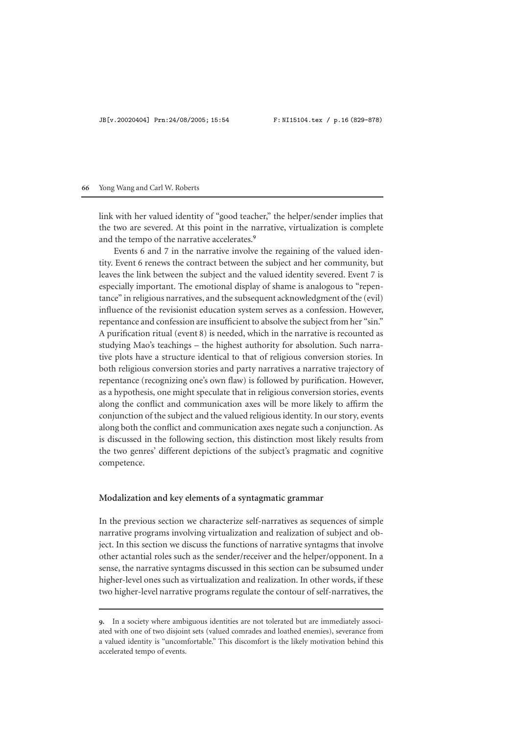link with her valued identity of "good teacher," the helper/sender implies that the two are severed. At this point in the narrative, virtualization is complete and the tempo of the narrative accelerates.<sup>9</sup>

Events 6 and 7 in the narrative involve the regaining of the valued identity. Event 6 renews the contract between the subject and her community, but leaves the link between the subject and the valued identity severed. Event 7 is especially important. The emotional display of shame is analogous to "repentance" in religious narratives, and the subsequent acknowledgment of the (evil) influence of the revisionist education system serves as a confession. However, repentance and confession are insufficient to absolve the subject from her "sin." A purification ritual (event 8) is needed, which in the narrative is recounted as studying Mao's teachings – the highest authority for absolution. Such narrative plots have a structure identical to that of religious conversion stories. In both religious conversion stories and party narratives a narrative trajectory of repentance (recognizing one's own flaw) is followed by purification. However, as a hypothesis, one might speculate that in religious conversion stories, events along the conflict and communication axes will be more likely to affirm the conjunction of the subject and the valued religious identity. In our story, events along both the conflict and communication axes negate such a conjunction. As is discussed in the following section, this distinction most likely results from the two genres' different depictions of the subject's pragmatic and cognitive competence.

#### **Modalization and key elements of a syntagmatic grammar**

In the previous section we characterize self-narratives as sequences of simple narrative programs involving virtualization and realization of subject and object. In this section we discuss the functions of narrative syntagms that involve other actantial roles such as the sender/receiver and the helper/opponent. In a sense, the narrative syntagms discussed in this section can be subsumed under higher-level ones such as virtualization and realization. In other words, if these two higher-level narrative programs regulate the contour of self-narratives, the

**<sup>.</sup>** In a society where ambiguous identities are not tolerated but are immediately associated with one of two disjoint sets (valued comrades and loathed enemies), severance from a valued identity is "uncomfortable." This discomfort is the likely motivation behind this accelerated tempo of events.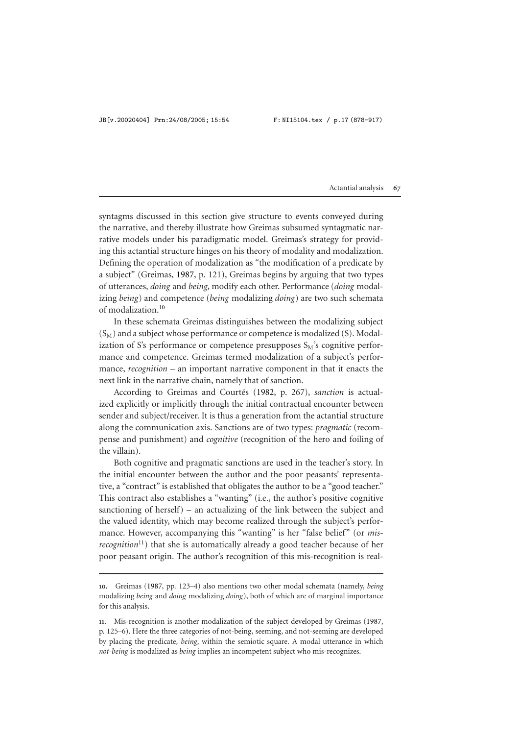syntagms discussed in this section give structure to events conveyed during the narrative, and thereby illustrate how Greimas subsumed syntagmatic narrative models under his paradigmatic model. Greimas's strategy for providing this actantial structure hinges on his theory of modality and modalization. Defining the operation of modalization as "the modification of a predicate by a subject" (Greimas, 1987, p. 121), Greimas begins by arguing that two types of utterances, *doing* and *being*, modify each other. Performance (*doing* modalizing *being*) and competence (*being* modalizing *doing*) are two such schemata of modalization.<sup>10</sup>

In these schemata Greimas distinguishes between the modalizing subject  $(S_M)$  and a subject whose performance or competence is modalized  $(S)$ . Modalization of S's performance or competence presupposes  $S_M$ 's cognitive performance and competence. Greimas termed modalization of a subject's performance, *recognition* – an important narrative component in that it enacts the next link in the narrative chain, namely that of sanction.

According to Greimas and Courtés (1982, p. 267), *sanction* is actualized explicitly or implicitly through the initial contractual encounter between sender and subject/receiver. It is thus a generation from the actantial structure along the communication axis. Sanctions are of two types: *pragmatic* (recompense and punishment) and *cognitive* (recognition of the hero and foiling of the villain).

Both cognitive and pragmatic sanctions are used in the teacher's story. In the initial encounter between the author and the poor peasants' representative, a "contract" is established that obligates the author to be a "good teacher." This contract also establishes a "wanting" (i.e., the author's positive cognitive sanctioning of herself) – an actualizing of the link between the subject and the valued identity, which may become realized through the subject's performance. However, accompanying this "wanting" is her "false belief" (or *misrecognition*<sup>11</sup>) that she is automatically already a good teacher because of her poor peasant origin. The author's recognition of this mis-recognition is real-

**<sup>.</sup>** Greimas (1987, pp. 123–4) also mentions two other modal schemata (namely, *being* modalizing *being* and *doing* modalizing *doing*), both of which are of marginal importance for this analysis.

**<sup>.</sup>** Mis-recognition is another modalization of the subject developed by Greimas (1987, p. 125–6). Here the three categories of not-being, seeming, and not-seeming are developed by placing the predicate, *being*, within the semiotic square. A modal utterance in which *not-being* is modalized as *being* implies an incompetent subject who mis-recognizes.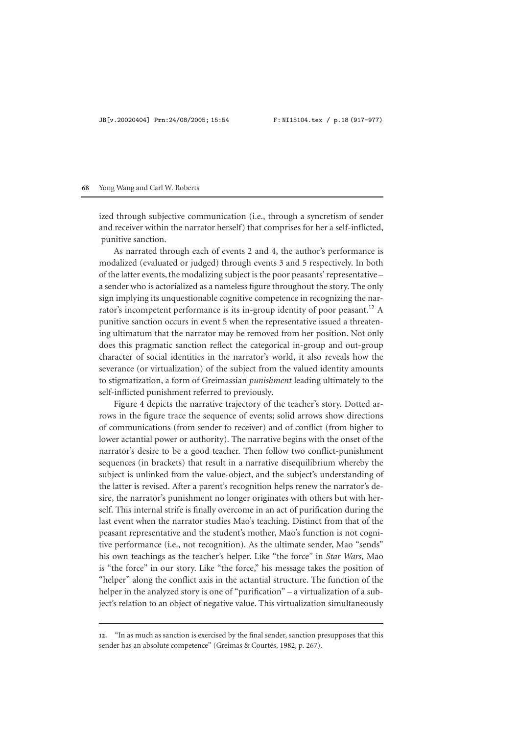ized through subjective communication (i.e., through a syncretism of sender and receiver within the narrator herself) that comprises for her a self-inflicted, punitive sanction.

As narrated through each of events 2 and 4, the author's performance is modalized (evaluated or judged) through events 3 and 5 respectively. In both of the latter events, the modalizing subject is the poor peasants' representative – a sender who is actorialized as a nameless figure throughout the story. The only sign implying its unquestionable cognitive competence in recognizing the narrator's incompetent performance is its in-group identity of poor peasant.<sup>12</sup> A punitive sanction occurs in event 5 when the representative issued a threatening ultimatum that the narrator may be removed from her position. Not only does this pragmatic sanction reflect the categorical in-group and out-group character of social identities in the narrator's world, it also reveals how the severance (or virtualization) of the subject from the valued identity amounts to stigmatization, a form of Greimassian *punishment* leading ultimately to the self-inflicted punishment referred to previously.

Figure 4 depicts the narrative trajectory of the teacher's story. Dotted arrows in the figure trace the sequence of events; solid arrows show directions of communications (from sender to receiver) and of conflict (from higher to lower actantial power or authority). The narrative begins with the onset of the narrator's desire to be a good teacher. Then follow two conflict-punishment sequences (in brackets) that result in a narrative disequilibrium whereby the subject is unlinked from the value-object, and the subject's understanding of the latter is revised. After a parent's recognition helps renew the narrator's desire, the narrator's punishment no longer originates with others but with herself. This internal strife is finally overcome in an act of purification during the last event when the narrator studies Mao's teaching. Distinct from that of the peasant representative and the student's mother, Mao's function is not cognitive performance (i.e., not recognition). As the ultimate sender, Mao "sends" his own teachings as the teacher's helper. Like "the force" in *Star Wars*, Mao is "the force" in our story. Like "the force," his message takes the position of "helper" along the conflict axis in the actantial structure. The function of the helper in the analyzed story is one of "purification" – a virtualization of a subject's relation to an object of negative value. This virtualization simultaneously

**<sup>.</sup>** "In as much as sanction is exercised by the final sender, sanction presupposes that this sender has an absolute competence" (Greimas & Courtés, 1982, p. 267).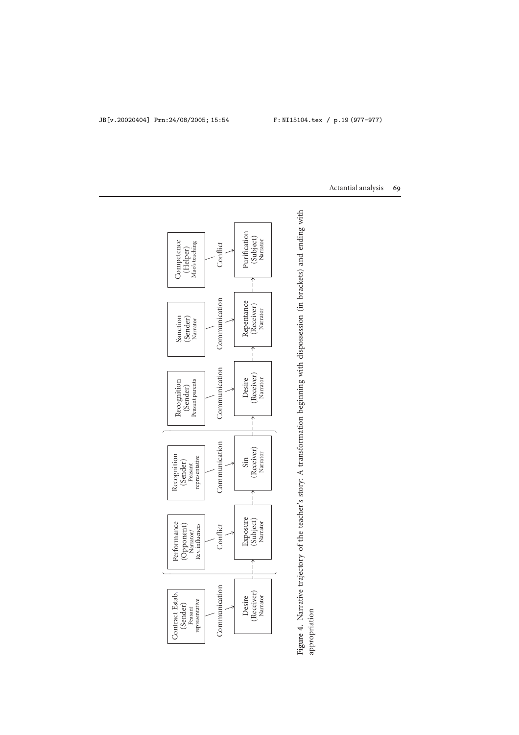

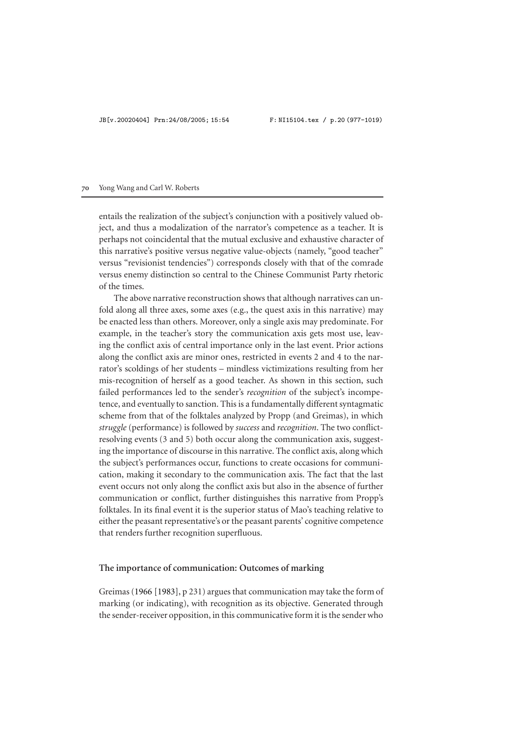entails the realization of the subject's conjunction with a positively valued object, and thus a modalization of the narrator's competence as a teacher. It is perhaps not coincidental that the mutual exclusive and exhaustive character of this narrative's positive versus negative value-objects (namely, "good teacher" versus "revisionist tendencies") corresponds closely with that of the comrade versus enemy distinction so central to the Chinese Communist Party rhetoric of the times.

The above narrative reconstruction shows that although narratives can unfold along all three axes, some axes (e.g., the quest axis in this narrative) may be enacted less than others. Moreover, only a single axis may predominate. For example, in the teacher's story the communication axis gets most use, leaving the conflict axis of central importance only in the last event. Prior actions along the conflict axis are minor ones, restricted in events 2 and 4 to the narrator's scoldings of her students – mindless victimizations resulting from her mis-recognition of herself as a good teacher. As shown in this section, such failed performances led to the sender's *recognition* of the subject's incompetence, and eventually to sanction. This is a fundamentally different syntagmatic scheme from that of the folktales analyzed by Propp (and Greimas), in which *struggle* (performance) is followed by *success* and *recognition*. The two conflictresolving events (3 and 5) both occur along the communication axis, suggesting the importance of discourse in this narrative. The conflict axis, along which the subject's performances occur, functions to create occasions for communication, making it secondary to the communication axis. The fact that the last event occurs not only along the conflict axis but also in the absence of further communication or conflict, further distinguishes this narrative from Propp's folktales. In its final event it is the superior status of Mao's teaching relative to either the peasant representative's or the peasant parents' cognitive competence that renders further recognition superfluous.

#### **The importance of communication: Outcomes of marking**

Greimas (1966 [1983], p 231) argues that communication may take the form of marking (or indicating), with recognition as its objective. Generated through the sender-receiver opposition, in this communicative form it is the sender who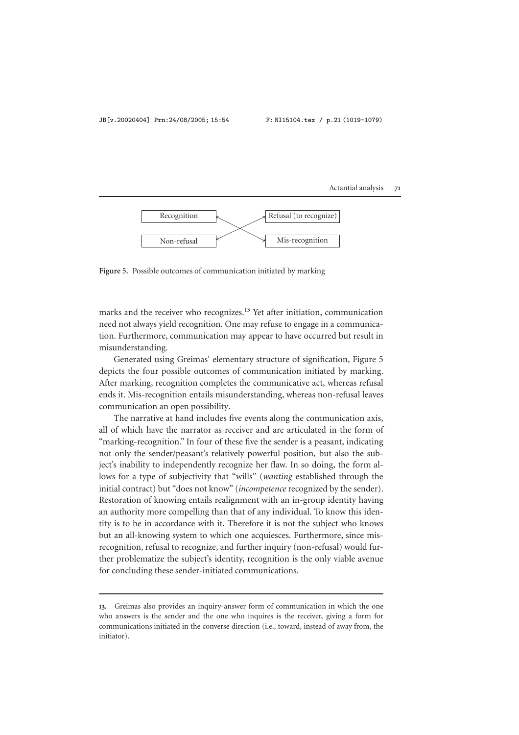

**Figure 5.** Possible outcomes of communication initiated by marking

marks and the receiver who recognizes.<sup>13</sup> Yet after initiation, communication need not always yield recognition. One may refuse to engage in a communication. Furthermore, communication may appear to have occurred but result in misunderstanding.

Generated using Greimas' elementary structure of signification, Figure 5 depicts the four possible outcomes of communication initiated by marking. After marking, recognition completes the communicative act, whereas refusal ends it. Mis-recognition entails misunderstanding, whereas non-refusal leaves communication an open possibility.

The narrative at hand includes five events along the communication axis, all of which have the narrator as receiver and are articulated in the form of "marking-recognition." In four of these five the sender is a peasant, indicating not only the sender/peasant's relatively powerful position, but also the subject's inability to independently recognize her flaw. In so doing, the form allows for a type of subjectivity that "wills" (*wanting* established through the initial contract) but "does not know" (*incompetence* recognized by the sender). Restoration of knowing entails realignment with an in-group identity having an authority more compelling than that of any individual. To know this identity is to be in accordance with it. Therefore it is not the subject who knows but an all-knowing system to which one acquiesces. Furthermore, since misrecognition, refusal to recognize, and further inquiry (non-refusal) would further problematize the subject's identity, recognition is the only viable avenue for concluding these sender-initiated communications.

**<sup>.</sup>** Greimas also provides an inquiry-answer form of communication in which the one who answers is the sender and the one who inquires is the receiver, giving a form for communications initiated in the converse direction (i.e., toward, instead of away from, the initiator).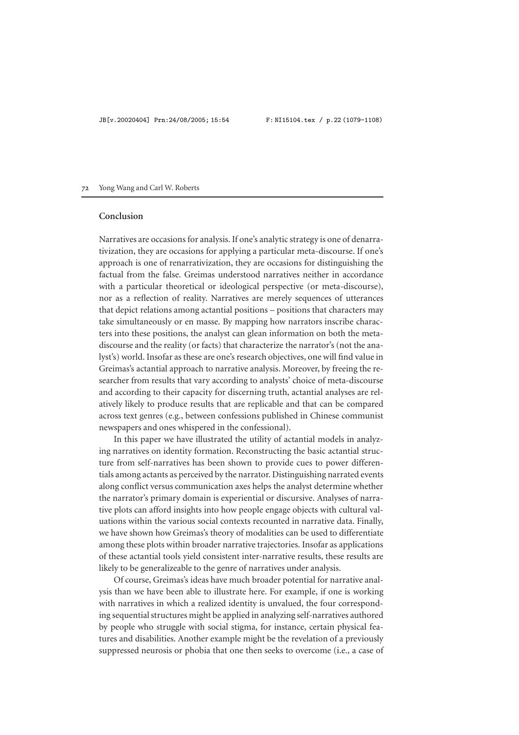#### **Conclusion**

Narratives are occasions for analysis. If one's analytic strategy is one of denarrativization, they are occasions for applying a particular meta-discourse. If one's approach is one of renarrativization, they are occasions for distinguishing the factual from the false. Greimas understood narratives neither in accordance with a particular theoretical or ideological perspective (or meta-discourse), nor as a reflection of reality. Narratives are merely sequences of utterances that depict relations among actantial positions – positions that characters may take simultaneously or en masse. By mapping how narrators inscribe characters into these positions, the analyst can glean information on both the metadiscourse and the reality (or facts) that characterize the narrator's (not the analyst's) world. Insofar as these are one's research objectives, one will find value in Greimas's actantial approach to narrative analysis. Moreover, by freeing the researcher from results that vary according to analysts' choice of meta-discourse and according to their capacity for discerning truth, actantial analyses are relatively likely to produce results that are replicable and that can be compared across text genres (e.g., between confessions published in Chinese communist newspapers and ones whispered in the confessional).

In this paper we have illustrated the utility of actantial models in analyzing narratives on identity formation. Reconstructing the basic actantial structure from self-narratives has been shown to provide cues to power differentials among actants as perceived by the narrator. Distinguishing narrated events along conflict versus communication axes helps the analyst determine whether the narrator's primary domain is experiential or discursive. Analyses of narrative plots can afford insights into how people engage objects with cultural valuations within the various social contexts recounted in narrative data. Finally, we have shown how Greimas's theory of modalities can be used to differentiate among these plots within broader narrative trajectories. Insofar as applications of these actantial tools yield consistent inter-narrative results, these results are likely to be generalizeable to the genre of narratives under analysis.

Of course, Greimas's ideas have much broader potential for narrative analysis than we have been able to illustrate here. For example, if one is working with narratives in which a realized identity is unvalued, the four corresponding sequential structures might be applied in analyzing self-narratives authored by people who struggle with social stigma, for instance, certain physical features and disabilities. Another example might be the revelation of a previously suppressed neurosis or phobia that one then seeks to overcome (i.e., a case of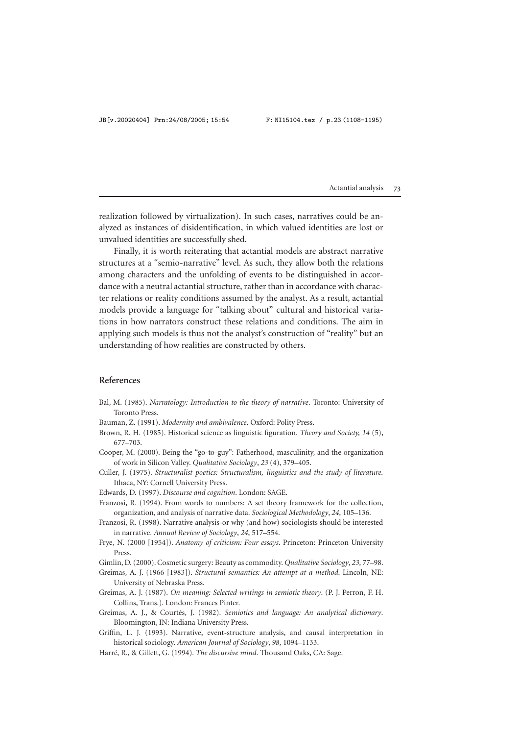realization followed by virtualization). In such cases, narratives could be analyzed as instances of disidentification, in which valued identities are lost or unvalued identities are successfully shed.

Finally, it is worth reiterating that actantial models are abstract narrative structures at a "semio-narrative" level. As such, they allow both the relations among characters and the unfolding of events to be distinguished in accordance with a neutral actantial structure, rather than in accordance with character relations or reality conditions assumed by the analyst. As a result, actantial models provide a language for "talking about" cultural and historical variations in how narrators construct these relations and conditions. The aim in applying such models is thus not the analyst's construction of "reality" but an understanding of how realities are constructed by others.

### **References**

- Bal, M. (1985). *Narratology: Introduction to the theory of narrative*. Toronto: University of Toronto Press.
- Bauman, Z. (1991). *Modernity and ambivalence*. Oxford: Polity Press.
- Brown, R. H. (1985). Historical science as linguistic figuration. *Theory and Society, 14* (5), 677–703.
- Cooper, M. (2000). Being the "go-to-guy": Fatherhood, masculinity, and the organization of work in Silicon Valley. *Qualitative Sociology*, *23* (4), 379–405.
- Culler, J. (1975). *Structuralist poetics: Structuralism, linguistics and the study of literature*. Ithaca, NY: Cornell University Press.
- Edwards, D. (1997). *Discourse and cognition*. London: SAGE.
- Franzosi, R. (1994). From words to numbers: A set theory framework for the collection, organization, and analysis of narrative data. *Sociological Methodology*, *24*, 105–136.
- Franzosi, R. (1998). Narrative analysis-or why (and how) sociologists should be interested in narrative. *Annual Review of Sociology*, *24*, 517–554.
- Frye, N. (2000 [1954]). *Anatomy of criticism: Four essays*. Princeton: Princeton University Press.
- Gimlin, D. (2000). Cosmetic surgery: Beauty as commodity. *Qualitative Sociology*, *23*, 77–98.
- Greimas, A. J. (1966 [1983]). *Structural semantics: An attempt at a method*. Lincoln, NE: University of Nebraska Press.
- Greimas, A. J. (1987). *On meaning: Selected writings in semiotic theory*. (P. J. Perron, F. H. Collins, Trans.). London: Frances Pinter.
- Greimas, A. J., & Courtés, J. (1982). *Semiotics and language: An analytical dictionary*. Bloomington, IN: Indiana University Press.
- Griffin, L. J. (1993). Narrative, event-structure analysis, and causal interpretation in historical sociology. *American Journal of Sociology*, *98*, 1094–1133.
- Harré, R., & Gillett, G. (1994). *The discursive mind*. Thousand Oaks, CA: Sage.